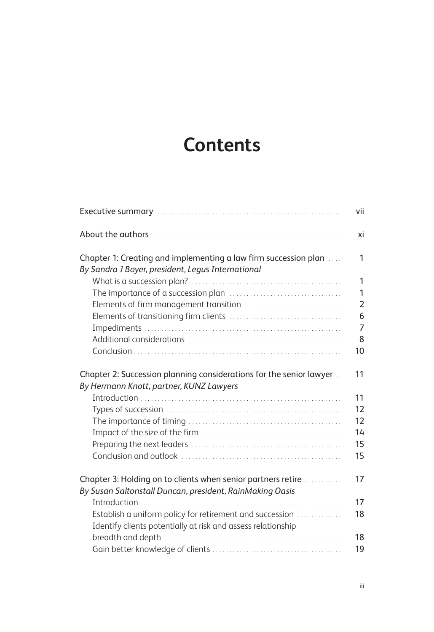## **Contents**

|                                                                                                                          | vii            |
|--------------------------------------------------------------------------------------------------------------------------|----------------|
|                                                                                                                          | xi             |
| Chapter 1: Creating and implementing a law firm succession plan<br>By Sandra J Boyer, president, Legus International     | 1              |
|                                                                                                                          | 1              |
|                                                                                                                          | 1              |
|                                                                                                                          | $\overline{2}$ |
|                                                                                                                          | 6              |
|                                                                                                                          | $\overline{7}$ |
|                                                                                                                          | 8              |
|                                                                                                                          | 10             |
| Chapter 2: Succession planning considerations for the senior lawyer                                                      | 11             |
| By Hermann Knott, partner, KUNZ Lawyers                                                                                  |                |
|                                                                                                                          | 11             |
|                                                                                                                          | 12             |
|                                                                                                                          | 12             |
|                                                                                                                          | 14             |
|                                                                                                                          | 15             |
|                                                                                                                          | 15             |
| Chapter 3: Holding on to clients when senior partners retire<br>By Susan Saltonstall Duncan, president, RainMaking Oasis | 17             |
|                                                                                                                          | 17             |
| Establish a uniform policy for retirement and succession<br>Identify clients potentially at risk and assess relationship | 18             |
|                                                                                                                          | 18             |
|                                                                                                                          | 19             |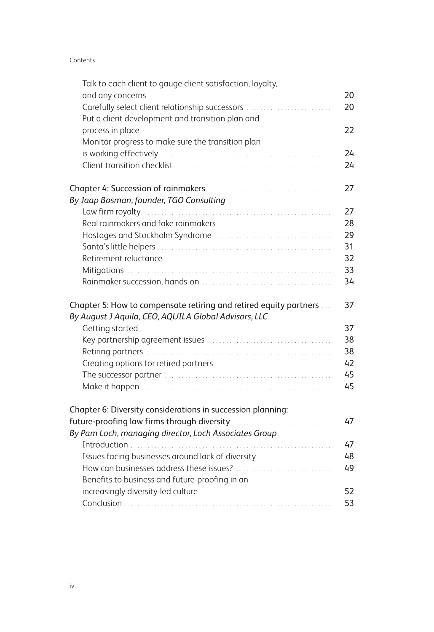## Contents

| Talk to each client to gauge client satisfaction, loyalty,        |    |
|-------------------------------------------------------------------|----|
|                                                                   | 20 |
| Carefully select client relationship successors                   | 20 |
| Put a client development and transition plan and                  |    |
|                                                                   | 22 |
| Monitor progress to make sure the transition plan                 |    |
|                                                                   | 24 |
|                                                                   | 24 |
|                                                                   | 27 |
| By Jaap Bosman, founder, TGO Consulting                           |    |
|                                                                   | 27 |
|                                                                   | 28 |
|                                                                   | 29 |
|                                                                   | 31 |
|                                                                   | 32 |
|                                                                   | 33 |
|                                                                   | 34 |
| Chapter 5: How to compensate retiring and retired equity partners | 37 |
| By August J Aquila, CEO, AQUILA Global Advisors, LLC              |    |
|                                                                   | 37 |
|                                                                   | 38 |
|                                                                   | 38 |
|                                                                   | 42 |
|                                                                   | 45 |
|                                                                   | 45 |
| Chapter 6: Diversity considerations in succession planning:       |    |
| future-proofing law firms through diversity                       | 47 |
| By Pam Loch, managing director, Loch Associates Group             |    |
|                                                                   | 47 |
| Issues facing businesses around lack of diversity                 | 48 |
|                                                                   | 49 |
| Benefits to business and future-proofing in an                    |    |
|                                                                   | 52 |
|                                                                   | 53 |